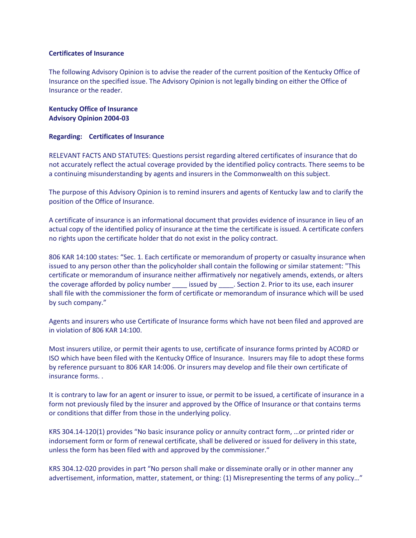## **Certificates of Insurance**

The following Advisory Opinion is to advise the reader of the current position of the Kentucky Office of Insurance on the specified issue. The Advisory Opinion is not legally binding on either the Office of Insurance or the reader.

**Kentucky Office of Insurance Advisory Opinion 2004-03**

## **Regarding: Certificates of Insurance**

RELEVANT FACTS AND STATUTES: Questions persist regarding altered certificates of insurance that do not accurately reflect the actual coverage provided by the identified policy contracts. There seems to be a continuing misunderstanding by agents and insurers in the Commonwealth on this subject.

The purpose of this Advisory Opinion is to remind insurers and agents of Kentucky law and to clarify the position of the Office of Insurance.

A certificate of insurance is an informational document that provides evidence of insurance in lieu of an actual copy of the identified policy of insurance at the time the certificate is issued. A certificate confers no rights upon the certificate holder that do not exist in the policy contract.

806 KAR 14:100 states: "Sec. 1. Each certificate or memorandum of property or casualty insurance when issued to any person other than the policyholder shall contain the following or similar statement: "This certificate or memorandum of insurance neither affirmatively nor negatively amends, extends, or alters the coverage afforded by policy number issued by \_\_\_\_. Section 2. Prior to its use, each insurer shall file with the commissioner the form of certificate or memorandum of insurance which will be used by such company."

Agents and insurers who use Certificate of Insurance forms which have not been filed and approved are in violation of 806 KAR 14:100.

Most insurers utilize, or permit their agents to use, certificate of insurance forms printed by ACORD or ISO which have been filed with the Kentucky Office of Insurance. Insurers may file to adopt these forms by reference pursuant to 806 KAR 14:006. Or insurers may develop and file their own certificate of insurance forms. .

It is contrary to law for an agent or insurer to issue, or permit to be issued, a certificate of insurance in a form not previously filed by the insurer and approved by the Office of Insurance or that contains terms or conditions that differ from those in the underlying policy.

KRS 304.14-120(1) provides "No basic insurance policy or annuity contract form, …or printed rider or indorsement form or form of renewal certificate, shall be delivered or issued for delivery in this state, unless the form has been filed with and approved by the commissioner."

KRS 304.12-020 provides in part "No person shall make or disseminate orally or in other manner any advertisement, information, matter, statement, or thing: (1) Misrepresenting the terms of any policy…"